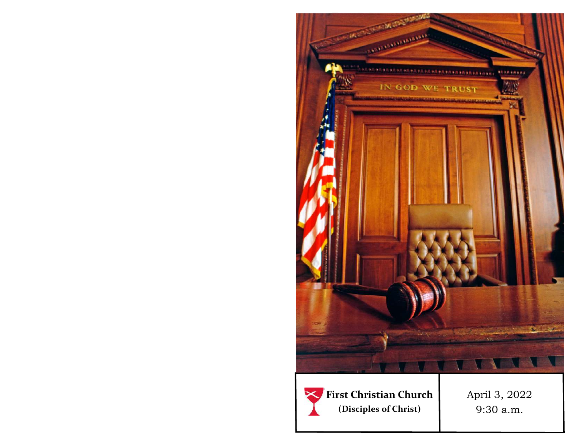



April 3, 2022 9:30 a.m.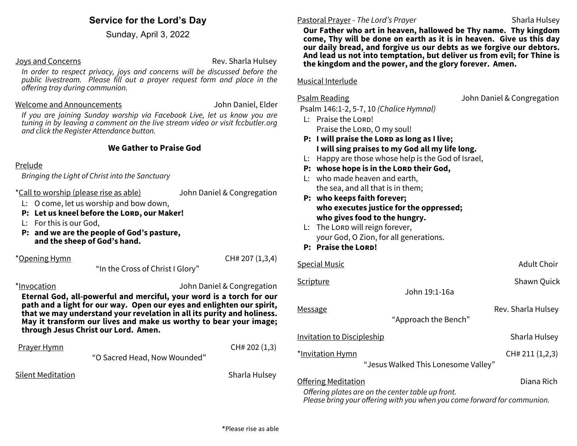# **Service for the Lord's Day**

Sunday, April 3, 2022

#### Joys and Concerns **Rev. Sharla Hulsey** Rev. Sharla Hulsey

*In order to respect privacy, joys and concerns will be discussed before the public livestream. Please fill out a prayer request form and place in the offering tray during communion.* 

#### Welcome and Announcements John Daniel, Elder

*If you are joining Sunday worship via Facebook Live, let us know you are tuning in by leaving a comment on the live stream video or visit fccbutler.org and click the Register Attendance button.*

## **We Gather to Praise God**

#### Prelude

*Bringing the Light of Christ into the Sanctuary*

\*Call to worship (please rise as able) John Daniel & Congregation

L: O come, let us worship and bow down,

- **P: Let us kneel before the Lord, our Maker!**
- L: For this is our God,
- **P: and we are the people of God's pasture, and the sheep of God's hand.**

\*Opening Hymn CH# 207 (1,3,4)

"In the Cross of Christ I Glory"

\*Invocation John Daniel & Congregation

**Eternal God, all-powerful and merciful, your word is a torch for our path and a light for our way. Open our eyes and enlighten our spirit, that we may understand your revelation in all its purity and holiness. May it transform our lives and make us worthy to bear your image; through Jesus Christ our Lord. Amen.**

#### Prayer Hymn CH# 202 (1,3)

"O Sacred Head, Now Wounded"

Silent Meditation Sharla Hulsey (Sharla Hulsey Sharla Hulsey Sharla Hulsey

### Pastoral Prayer - *The Lord's Prayer* Sharla Hulsey

**Our Father who art in heaven, hallowed be Thy name. Thy kingdom come, Thy will be done on earth as it is in heaven. Give us this day our daily bread, and forgive us our debts as we forgive our debtors. And lead us not into temptation, but deliver us from evil; for Thine is the kingdom and the power, and the glory forever. Amen.**

#### Musical Interlude

Psalm Reading **Properties** John Daniel & Congregation

Psalm 146:1-2, 5-7, 10 *(Chalice Hymnal)*

- L: Praise the LORD! Praise the LORD, O my soul!
- **P:** I will praise the LORD as long as I live; **I will sing praises to my God all my life long.**
- L: Happy are those whose help is the God of Israel,
- **P:** whose hope is in the LORD their God,
- L: who made heaven and earth, the sea, and all that is in them;
- **P: who keeps faith forever; who executes justice for the oppressed; who gives food to the hungry.**
- L: The Lord will reign forever, your God, O Zion, for all generations.
- **P: Praise the Lord!**

| <b>Special Music</b>                | <b>Adult Choir</b> |  |  |  |  |  |  |
|-------------------------------------|--------------------|--|--|--|--|--|--|
| Scripture                           | Shawn Quick        |  |  |  |  |  |  |
| John 19:1-16a                       |                    |  |  |  |  |  |  |
| Message                             | Rev. Sharla Hulsey |  |  |  |  |  |  |
| "Approach the Bench"                |                    |  |  |  |  |  |  |
| <b>Invitation to Discipleship</b>   | Sharla Hulsey      |  |  |  |  |  |  |
| *Invitation Hymn                    | CH# 211 (1,2,3)    |  |  |  |  |  |  |
| "Jesus Walked This Lonesome Valley" |                    |  |  |  |  |  |  |
| <b>Offering Meditation</b>          | Diana Rich         |  |  |  |  |  |  |

*Offering plates are on the center table up front. Please bring your offering with you when you come forward for communion.*

\*Please rise as able